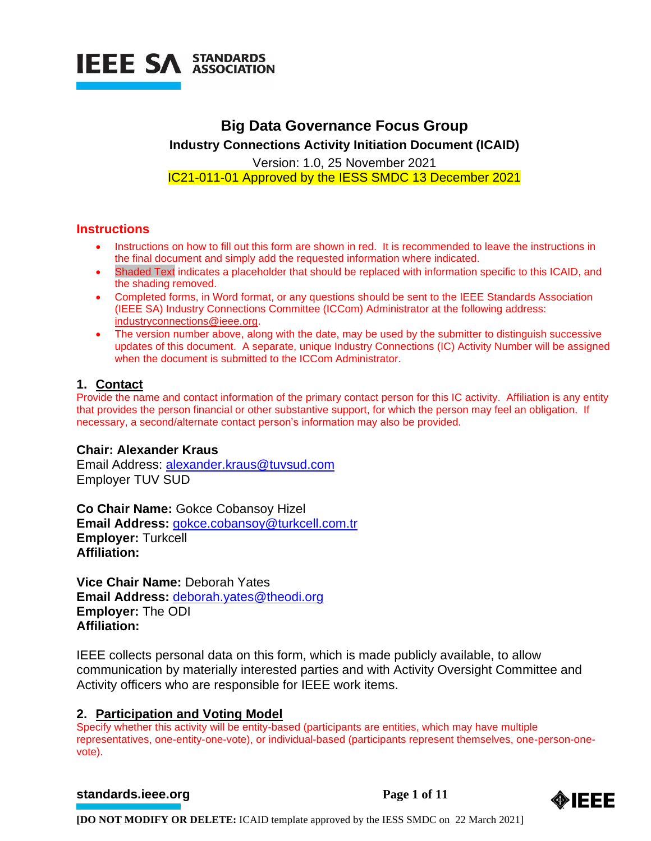

## **Big Data Governance Focus Group**

**Industry Connections Activity Initiation Document (ICAID)**

Version: 1.0, 25 November 2021 IC21-011-01 Approved by the IESS SMDC 13 December 2021

### **Instructions**

- Instructions on how to fill out this form are shown in red. It is recommended to leave the instructions in the final document and simply add the requested information where indicated.
- Shaded Text indicates a placeholder that should be replaced with information specific to this ICAID, and the shading removed.
- Completed forms, in Word format, or any questions should be sent to the IEEE Standards Association (IEEE SA) Industry Connections Committee (ICCom) Administrator at the following address: [industryconnections@ieee.org.](mailto:industryconnections@ieee.org)
- The version number above, along with the date, may be used by the submitter to distinguish successive updates of this document. A separate, unique Industry Connections (IC) Activity Number will be assigned when the document is submitted to the ICCom Administrator.

## **1. Contact**

Provide the name and contact information of the primary contact person for this IC activity. Affiliation is any entity that provides the person financial or other substantive support, for which the person may feel an obligation. If necessary, a second/alternate contact person's information may also be provided.

### **Chair: Alexander Kraus**

Email Address: [alexander.kraus@tuvsud.com](mailto:alexander.kraus@tuvsud.com) Employer TUV SUD

**Co Chair Name:** Gokce Cobansoy Hizel **Email Address:** [gokce.cobansoy@turkcell.com.tr](mailto:gokce.cobansoy@turkcell.com.tr) **Employer:** Turkcell **Affiliation:**

**Vice Chair Name:** Deborah Yates **Email Address:** [deborah.yates@theodi.org](mailto:deborah.yates@theodi.org) **Employer:** The ODI **Affiliation:**

IEEE collects personal data on this form, which is made publicly available, to allow communication by materially interested parties and with Activity Oversight Committee and Activity officers who are responsible for IEEE work items.

## **2. Participation and Voting Model**

Specify whether this activity will be entity-based (participants are entities, which may have multiple representatives, one-entity-one-vote), or individual-based (participants represent themselves, one-person-onevote).

#### **[standards.ieee.org](http://standards.ieee.org/)** Page 1 of 11



**[DO NOT MODIFY OR DELETE:** ICAID template approved by the IESS SMDC on 22 March 2021]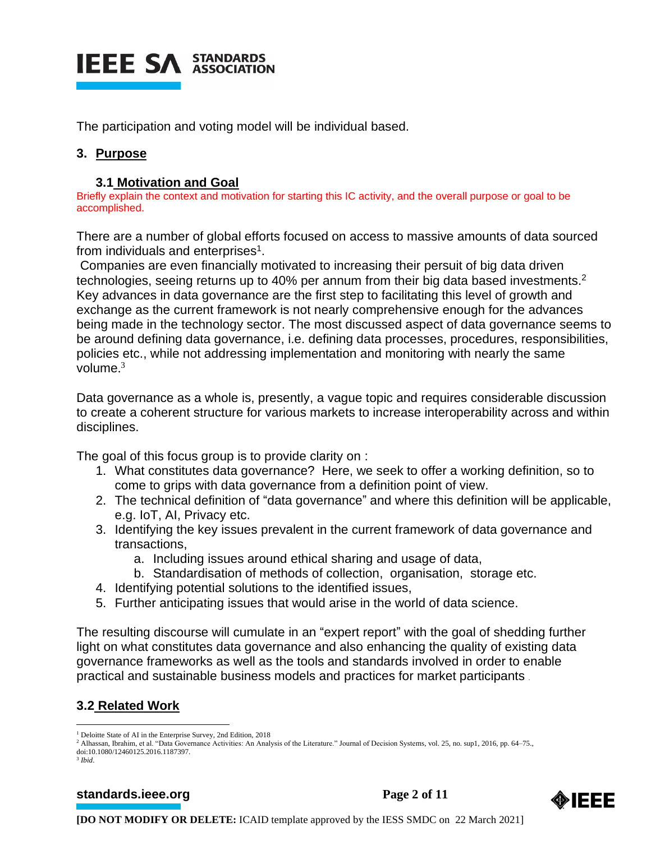

The participation and voting model will be individual based.

## **3. Purpose**

## **3.1 Motivation and Goal**

Briefly explain the context and motivation for starting this IC activity, and the overall purpose or goal to be accomplished.

There are a number of global efforts focused on access to massive amounts of data sourced from individuals and enterprises<sup>1</sup>.

Companies are even financially motivated to increasing their persuit of big data driven technologies, seeing returns up to 40% per annum from their big data based investments.<sup>2</sup> Key advances in data governance are the first step to facilitating this level of growth and exchange as the current framework is not nearly comprehensive enough for the advances being made in the technology sector. The most discussed aspect of data governance seems to be around defining data governance, i.e. defining data processes, procedures, responsibilities, policies etc., while not addressing implementation and monitoring with nearly the same volume. $3$ 

Data governance as a whole is, presently, a vague topic and requires considerable discussion to create a coherent structure for various markets to increase interoperability across and within disciplines.

The goal of this focus group is to provide clarity on :

- 1. What constitutes data governance? Here, we seek to offer a working definition, so to come to grips with data governance from a definition point of view.
- 2. The technical definition of "data governance" and where this definition will be applicable, e.g. IoT, AI, Privacy etc.
- 3. Identifying the key issues prevalent in the current framework of data governance and transactions,
	- a. Including issues around ethical sharing and usage of data,
	- b. Standardisation of methods of collection, organisation, storage etc.
- 4. Identifying potential solutions to the identified issues,
- 5. Further anticipating issues that would arise in the world of data science.

The resulting discourse will cumulate in an "expert report" with the goal of shedding further light on what constitutes data governance and also enhancing the quality of existing data governance frameworks as well as the tools and standards involved in order to enable practical and sustainable business models and practices for market participants .

## **3.2 Related Work**

**[standards.ieee.org](http://standards.ieee.org/)** Page 2 of 11



**[DO NOT MODIFY OR DELETE:** ICAID template approved by the IESS SMDC on 22 March 2021]

<sup>&</sup>lt;sup>1</sup> Deloitte State of AI in the Enterprise Survey, 2nd Edition, 2018

<sup>2</sup> Alhassan, Ibrahim, et al. "Data Governance Activities: An Analysis of the Literature." Journal of Decision Systems, vol. 25, no. sup1, 2016, pp. 64–75.,

doi:10.1080/12460125.2016.1187397.

<sup>3</sup> *Ibid*.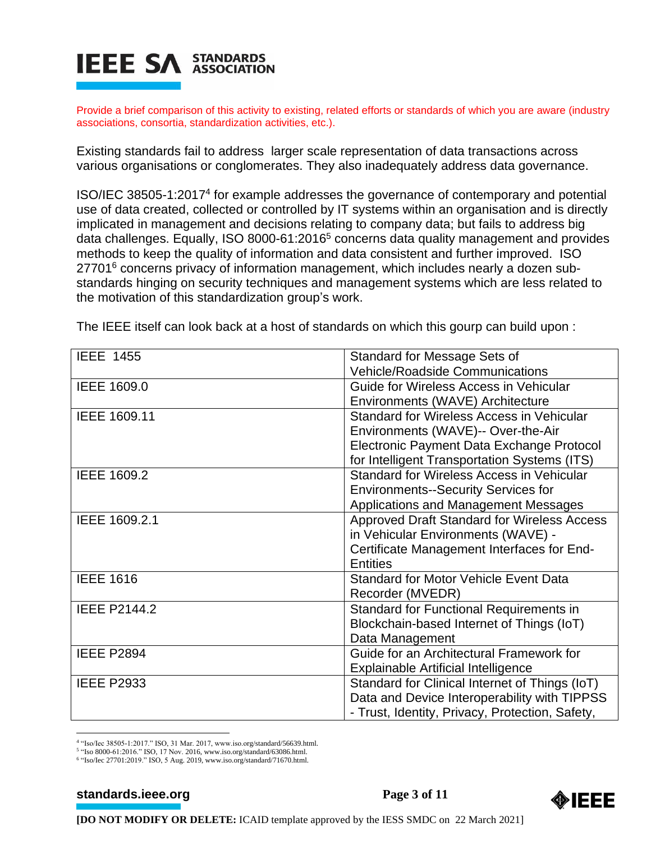

Provide a brief comparison of this activity to existing, related efforts or standards of which you are aware (industry associations, consortia, standardization activities, etc.).

Existing standards fail to address larger scale representation of data transactions across various organisations or conglomerates. They also inadequately address data governance.

ISO/IEC 38505-1:2017<sup>4</sup> for example addresses the governance of contemporary and potential use of data created, collected or controlled by IT systems within an organisation and is directly implicated in management and decisions relating to company data; but fails to address big data challenges. Equally, ISO 8000-61:2016<sup>5</sup> concerns data quality management and provides methods to keep the quality of information and data consistent and further improved. ISO 27701<sup>6</sup> concerns privacy of information management, which includes nearly a dozen substandards hinging on security techniques and management systems which are less related to the motivation of this standardization group's work.

The IEEE itself can look back at a host of standards on which this gourp can build upon :

| <b>IEEE 1455</b>    | Standard for Message Sets of                    |  |  |
|---------------------|-------------------------------------------------|--|--|
|                     | <b>Vehicle/Roadside Communications</b>          |  |  |
| IEEE 1609.0         | Guide for Wireless Access in Vehicular          |  |  |
|                     | Environments (WAVE) Architecture                |  |  |
| IEEE 1609.11        | Standard for Wireless Access in Vehicular       |  |  |
|                     | Environments (WAVE)-- Over-the-Air              |  |  |
|                     | Electronic Payment Data Exchange Protocol       |  |  |
|                     | for Intelligent Transportation Systems (ITS)    |  |  |
| IEEE 1609.2         | Standard for Wireless Access in Vehicular       |  |  |
|                     | <b>Environments--Security Services for</b>      |  |  |
|                     | <b>Applications and Management Messages</b>     |  |  |
| IEEE 1609.2.1       | Approved Draft Standard for Wireless Access     |  |  |
|                     | in Vehicular Environments (WAVE) -              |  |  |
|                     | Certificate Management Interfaces for End-      |  |  |
|                     | <b>Entities</b>                                 |  |  |
| <b>IEEE 1616</b>    | <b>Standard for Motor Vehicle Event Data</b>    |  |  |
|                     | Recorder (MVEDR)                                |  |  |
| <b>IEEE P2144.2</b> | <b>Standard for Functional Requirements in</b>  |  |  |
|                     | Blockchain-based Internet of Things (IoT)       |  |  |
|                     | Data Management                                 |  |  |
| <b>IEEE P2894</b>   | Guide for an Architectural Framework for        |  |  |
|                     | <b>Explainable Artificial Intelligence</b>      |  |  |
| <b>IEEE P2933</b>   | Standard for Clinical Internet of Things (IoT)  |  |  |
|                     | Data and Device Interoperability with TIPPSS    |  |  |
|                     | - Trust, Identity, Privacy, Protection, Safety, |  |  |

<sup>4</sup> "Iso/Iec 38505-1:2017." ISO, 31 Mar. 2017, www.iso.org/standard/56639.html.

**[standards.ieee.org](http://standards.ieee.org/)** Page 3 of 11



<sup>&</sup>lt;sup>5</sup> "Iso 8000-61:2016." ISO, 17 Nov. 2016, www.iso.org/standard/63086.html.

<sup>6</sup> "Iso/Iec 27701:2019." ISO, 5 Aug. 2019, www.iso.org/standard/71670.html.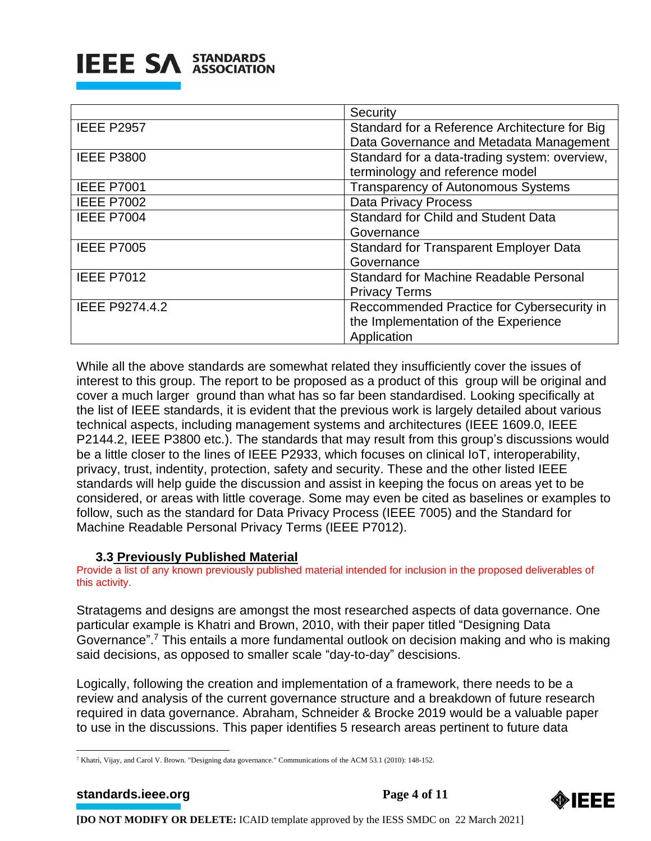

|                   | Security                                      |  |
|-------------------|-----------------------------------------------|--|
| <b>IEEE P2957</b> | Standard for a Reference Architecture for Big |  |
|                   | Data Governance and Metadata Management       |  |
| <b>IEEE P3800</b> | Standard for a data-trading system: overview, |  |
|                   | terminology and reference model               |  |
| <b>IEEE P7001</b> | Transparency of Autonomous Systems            |  |
| <b>IEEE P7002</b> | <b>Data Privacy Process</b>                   |  |
| <b>IEEE P7004</b> | <b>Standard for Child and Student Data</b>    |  |
|                   | Governance                                    |  |
| <b>IEEE P7005</b> | <b>Standard for Transparent Employer Data</b> |  |
|                   | Governance                                    |  |
| <b>IEEE P7012</b> | Standard for Machine Readable Personal        |  |
|                   | <b>Privacy Terms</b>                          |  |
| IEEE P9274.4.2    | Reccommended Practice for Cybersecurity in    |  |
|                   | the Implementation of the Experience          |  |
|                   | Application                                   |  |

While all the above standards are somewhat related they insufficiently cover the issues of interest to this group. The report to be proposed as a product of this group will be original and cover a much larger ground than what has so far been standardised. Looking specifically at the list of IEEE standards, it is evident that the previous work is largely detailed about various technical aspects, including management systems and architectures (IEEE 1609.0, IEEE P2144.2, IEEE P3800 etc.). The standards that may result from this group's discussions would be a little closer to the lines of IEEE P2933, which focuses on clinical IoT, interoperability, privacy, trust, indentity, protection, safety and security. These and the other listed IEEE standards will help guide the discussion and assist in keeping the focus on areas yet to be considered, or areas with little coverage. Some may even be cited as baselines or examples to follow, such as the standard for Data Privacy Process (IEEE 7005) and the Standard for Machine Readable Personal Privacy Terms (IEEE P7012).

## **3.3 Previously Published Material**

Provide a list of any known previously published material intended for inclusion in the proposed deliverables of this activity.

Stratagems and designs are amongst the most researched aspects of data governance. One particular example is Khatri and Brown, 2010, with their paper titled "Designing Data Governance".<sup>7</sup> This entails a more fundamental outlook on decision making and who is making said decisions, as opposed to smaller scale "day-to-day" descisions.

Logically, following the creation and implementation of a framework, there needs to be a review and analysis of the current governance structure and a breakdown of future research required in data governance. Abraham, Schneider & Brocke 2019 would be a valuable paper to use in the discussions. This paper identifies 5 research areas pertinent to future data



<sup>&</sup>lt;sup>7</sup> Khatri, Vijay, and Carol V. Brown. "Designing data governance." Communications of the ACM 53.1 (2010): 148-152.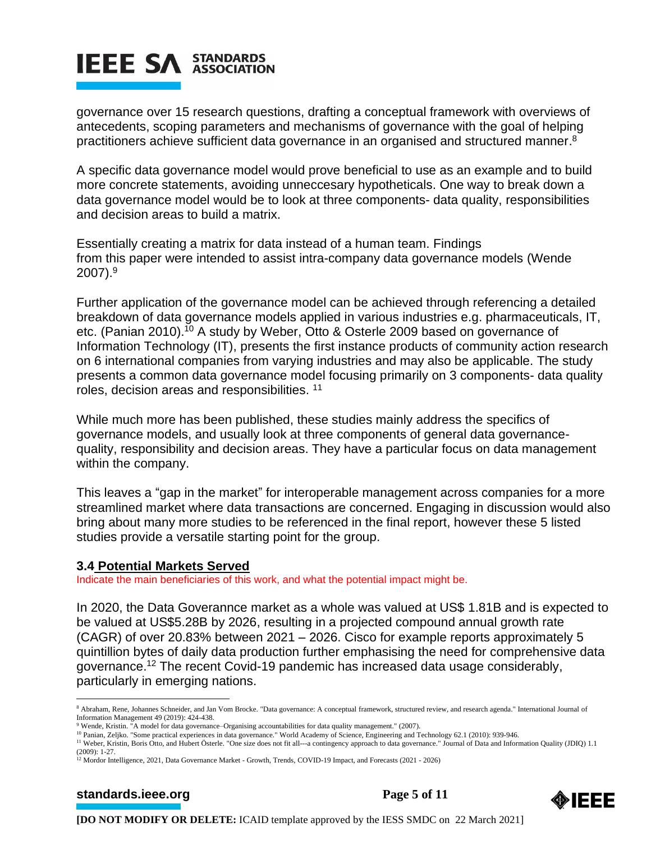governance over 15 research questions, drafting a conceptual framework with overviews of antecedents, scoping parameters and mechanisms of governance with the goal of helping practitioners achieve sufficient data governance in an organised and structured manner.<sup>8</sup>

A specific data governance model would prove beneficial to use as an example and to build more concrete statements, avoiding unneccesary hypotheticals. One way to break down a data governance model would be to look at three components- data quality, responsibilities and decision areas to build a matrix.

Essentially creating a matrix for data instead of a human team. Findings from this paper were intended to assist intra-company data governance models (Wende 2007). 9

Further application of the governance model can be achieved through referencing a detailed breakdown of data governance models applied in various industries e.g. pharmaceuticals, IT, etc. (Panian 2010).<sup>10</sup> A study by Weber, Otto & Osterle 2009 based on governance of Information Technology (IT), presents the first instance products of community action research on 6 international companies from varying industries and may also be applicable. The study presents a common data governance model focusing primarily on 3 components- data quality roles, decision areas and responsibilities. <sup>11</sup>

While much more has been published, these studies mainly address the specifics of governance models, and usually look at three components of general data governancequality, responsibility and decision areas. They have a particular focus on data management within the company.

This leaves a "gap in the market" for interoperable management across companies for a more streamlined market where data transactions are concerned. Engaging in discussion would also bring about many more studies to be referenced in the final report, however these 5 listed studies provide a versatile starting point for the group.

### **3.4 Potential Markets Served**

Indicate the main beneficiaries of this work, and what the potential impact might be.

In 2020, the Data Goverannce market as a whole was valued at US\$ 1.81B and is expected to be valued at US\$5.28B by 2026, resulting in a projected compound annual growth rate (CAGR) of over 20.83% between 2021 – 2026. Cisco for example reports approximately 5 quintillion bytes of daily data production further emphasising the need for comprehensive data governance. <sup>12</sup> The recent Covid-19 pandemic has increased data usage considerably, particularly in emerging nations.

**[standards.ieee.org](http://standards.ieee.org/)** Page 5 of 11



<sup>&</sup>lt;sup>8</sup> Abraham, Rene, Johannes Schneider, and Jan Vom Brocke. "Data governance: A conceptual framework, structured review, and research agenda." International Journal of Information Management 49 (2019): 424-438.

<sup>9</sup> Wende, Kristin. "A model for data governance–Organising accountabilities for data quality management." (2007).

<sup>10</sup> Panian, Zeljko. "Some practical experiences in data governance." World Academy of Science, Engineering and Technology 62.1 (2010): 939-946.

<sup>&</sup>lt;sup>11</sup> Weber, Kristin, Boris Otto, and Hubert Österle. "One size does not fit all---a contingency approach to data governance." Journal of Data and Information Quality (JDIQ) 1.1 (2009): 1-27.

<sup>&</sup>lt;sup>12</sup> Mordor Intelligence, 2021, Data Governance Market - Growth, Trends, COVID-19 Impact, and Forecasts (2021 - 2026)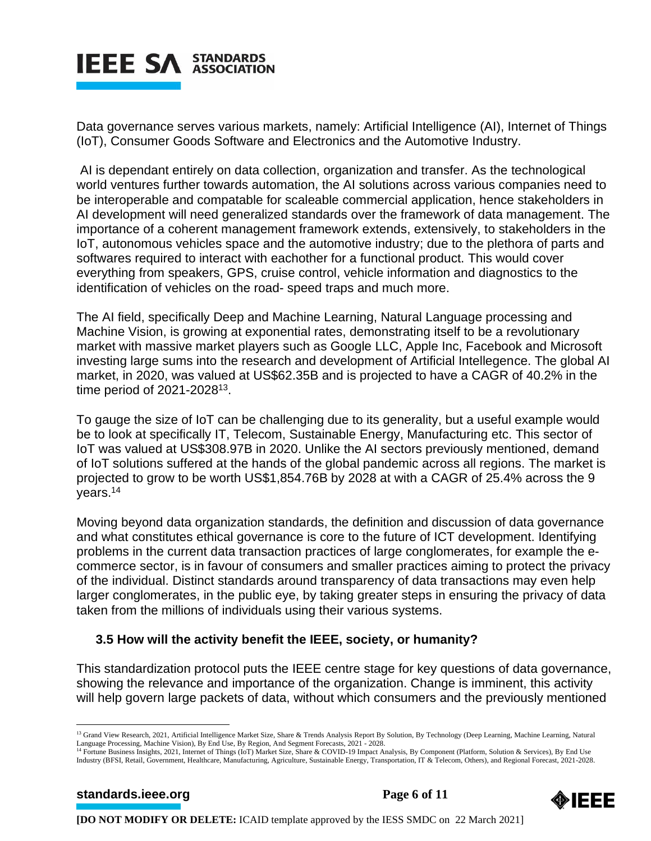

Data governance serves various markets, namely: Artificial Intelligence (AI), Internet of Things (IoT), Consumer Goods Software and Electronics and the Automotive Industry.

AI is dependant entirely on data collection, organization and transfer. As the technological world ventures further towards automation, the AI solutions across various companies need to be interoperable and compatable for scaleable commercial application, hence stakeholders in AI development will need generalized standards over the framework of data management. The importance of a coherent management framework extends, extensively, to stakeholders in the IoT, autonomous vehicles space and the automotive industry; due to the plethora of parts and softwares required to interact with eachother for a functional product. This would cover everything from speakers, GPS, cruise control, vehicle information and diagnostics to the identification of vehicles on the road- speed traps and much more.

The AI field, specifically Deep and Machine Learning, Natural Language processing and Machine Vision, is growing at exponential rates, demonstrating itself to be a revolutionary market with massive market players such as Google LLC, Apple Inc, Facebook and Microsoft investing large sums into the research and development of Artificial Intellegence. The global AI market, in 2020, was valued at US\$62.35B and is projected to have a CAGR of 40.2% in the time period of 2021-2028<sup>13</sup>.

To gauge the size of IoT can be challenging due to its generality, but a useful example would be to look at specifically IT, Telecom, Sustainable Energy, Manufacturing etc. This sector of IoT was valued at US\$308.97B in 2020. Unlike the AI sectors previously mentioned, demand of IoT solutions suffered at the hands of the global pandemic across all regions. The market is projected to grow to be worth US\$1,854.76B by 2028 at with a CAGR of 25.4% across the 9 years. 14

Moving beyond data organization standards, the definition and discussion of data governance and what constitutes ethical governance is core to the future of ICT development. Identifying problems in the current data transaction practices of large conglomerates, for example the ecommerce sector, is in favour of consumers and smaller practices aiming to protect the privacy of the individual. Distinct standards around transparency of data transactions may even help larger conglomerates, in the public eye, by taking greater steps in ensuring the privacy of data taken from the millions of individuals using their various systems.

## **3.5 How will the activity benefit the IEEE, society, or humanity?**

This standardization protocol puts the IEEE centre stage for key questions of data governance, showing the relevance and importance of the organization. Change is imminent, this activity will help govern large packets of data, without which consumers and the previously mentioned



<sup>&</sup>lt;sup>13</sup> Grand View Research, 2021, Artificial Intelligence Market Size, Share & Trends Analysis Report By Solution, By Technology (Deep Learning, Machine Learning, Natural Language Processing, Machine Vision), By End Use, By Region, And Segment Forecasts, 2021 - 2028.<br><sup>14</sup> Fortune Business Insights, 2021, Internet of Things (IoT) Market Size, Share & COVID-19 Impact Analysis, By Component (P

Industry (BFSI, Retail, Government, Healthcare, Manufacturing, Agriculture, Sustainable Energy, Transportation, IT & Telecom, Others), and Regional Forecast, 2021-2028.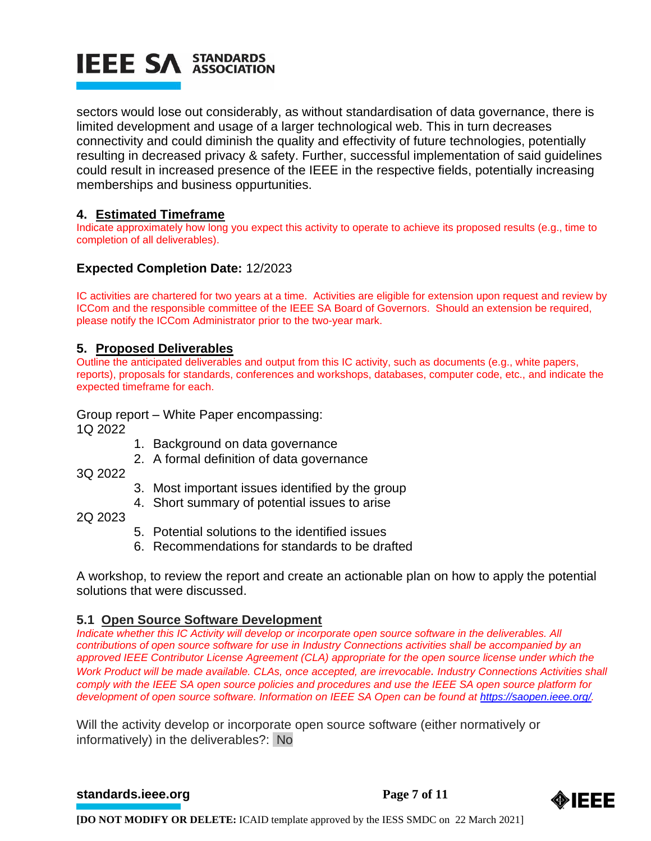sectors would lose out considerably, as without standardisation of data governance, there is limited development and usage of a larger technological web. This in turn decreases connectivity and could diminish the quality and effectivity of future technologies, potentially resulting in decreased privacy & safety. Further, successful implementation of said guidelines could result in increased presence of the IEEE in the respective fields, potentially increasing memberships and business oppurtunities.

## **4. Estimated Timeframe**

Indicate approximately how long you expect this activity to operate to achieve its proposed results (e.g., time to completion of all deliverables).

## **Expected Completion Date:** 12/2023

IC activities are chartered for two years at a time. Activities are eligible for extension upon request and review by ICCom and the responsible committee of the IEEE SA Board of Governors. Should an extension be required, please notify the ICCom Administrator prior to the two-year mark.

### **5. Proposed Deliverables**

Outline the anticipated deliverables and output from this IC activity, such as documents (e.g., white papers, reports), proposals for standards, conferences and workshops, databases, computer code, etc., and indicate the expected timeframe for each.

Group report – White Paper encompassing:

1Q 2022

- 1. Background on data governance
- 2. A formal definition of data governance

3Q 2022

- 3. Most important issues identified by the group
- 4. Short summary of potential issues to arise

2Q 2023

- 5. Potential solutions to the identified issues
- 6. Recommendations for standards to be drafted

A workshop, to review the report and create an actionable plan on how to apply the potential solutions that were discussed.

## **5.1 Open Source Software Development**

*Indicate whether this IC Activity will develop or incorporate open source software in the deliverables. All contributions of open source software for use in Industry Connections activities shall be accompanied by an approved IEEE Contributor License Agreement (CLA) appropriate for the open source license under which the Work Product will be made available. CLAs, once accepted, are irrevocable. Industry Connections Activities shall comply with the IEEE SA open source policies and procedures and use the IEEE SA open source platform for development of open source software. Information on IEEE SA Open can be found at [https://saopen.ieee.org/.](https://saopen.ieee.org/)* 

Will the activity develop or incorporate open source software (either normatively or informatively) in the deliverables?: No

**[standards.ieee.org](http://standards.ieee.org/)** Page 7 of 11

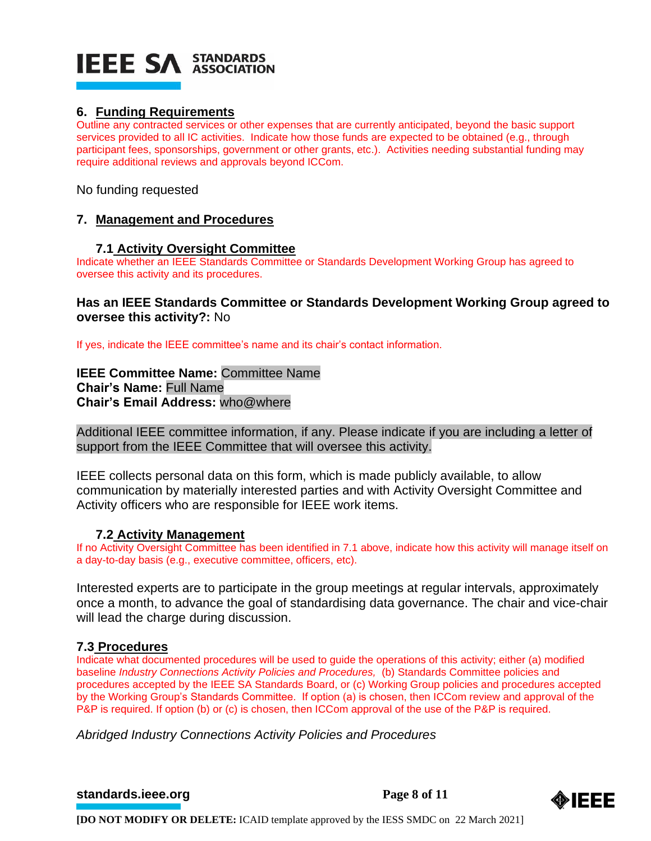## **6. Funding Requirements**

Outline any contracted services or other expenses that are currently anticipated, beyond the basic support services provided to all IC activities. Indicate how those funds are expected to be obtained (e.g., through participant fees, sponsorships, government or other grants, etc.). Activities needing substantial funding may require additional reviews and approvals beyond ICCom.

No funding requested

## **7. Management and Procedures**

### **7.1 Activity Oversight Committee**

Indicate whether an IEEE Standards Committee or Standards Development Working Group has agreed to oversee this activity and its procedures.

## **Has an IEEE Standards Committee or Standards Development Working Group agreed to oversee this activity?:** No

If yes, indicate the IEEE committee's name and its chair's contact information.

**IEEE Committee Name:** Committee Name **Chair's Name:** Full Name **Chair's Email Address:** who@where

Additional IEEE committee information, if any. Please indicate if you are including a letter of support from the IEEE Committee that will oversee this activity.

IEEE collects personal data on this form, which is made publicly available, to allow communication by materially interested parties and with Activity Oversight Committee and Activity officers who are responsible for IEEE work items.

### **7.2 Activity Management**

If no Activity Oversight Committee has been identified in 7.1 above, indicate how this activity will manage itself on a day-to-day basis (e.g., executive committee, officers, etc).

Interested experts are to participate in the group meetings at regular intervals, approximately once a month, to advance the goal of standardising data governance. The chair and vice-chair will lead the charge during discussion.

#### **7.3 Procedures**

Indicate what documented procedures will be used to guide the operations of this activity; either (a) modified baseline *Industry Connections Activity Policies and Procedures,* (b) Standards Committee policies and procedures accepted by the IEEE SA Standards Board, or (c) Working Group policies and procedures accepted by the Working Group's Standards Committee. If option (a) is chosen, then ICCom review and approval of the P&P is required. If option (b) or (c) is chosen, then ICCom approval of the use of the P&P is required.

*Abridged Industry Connections Activity Policies and Procedures*

**[standards.ieee.org](http://standards.ieee.org/)** Page 8 of 11

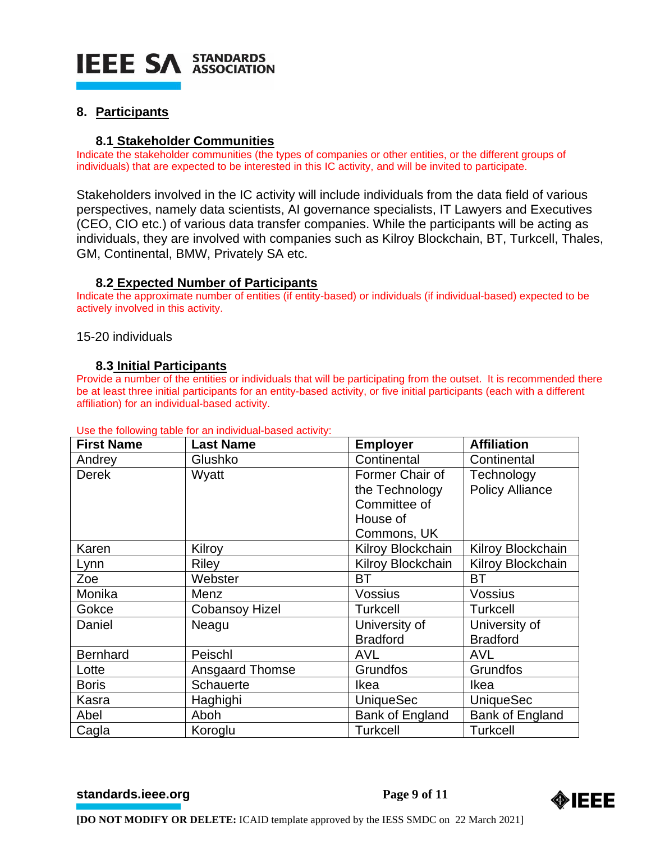

## **8. Participants**

### **8.1 Stakeholder Communities**

Indicate the stakeholder communities (the types of companies or other entities, or the different groups of individuals) that are expected to be interested in this IC activity, and will be invited to participate.

Stakeholders involved in the IC activity will include individuals from the data field of various perspectives, namely data scientists, AI governance specialists, IT Lawyers and Executives (CEO, CIO etc.) of various data transfer companies. While the participants will be acting as individuals, they are involved with companies such as Kilroy Blockchain, BT, Turkcell, Thales, GM, Continental, BMW, Privately SA etc.

### **8.2 Expected Number of Participants**

Indicate the approximate number of entities (if entity-based) or individuals (if individual-based) expected to be actively involved in this activity.

#### 15-20 individuals

#### **8.3 Initial Participants**

Provide a number of the entities or individuals that will be participating from the outset. It is recommended there be at least three initial participants for an entity-based activity, or five initial participants (each with a different affiliation) for an individual-based activity.

| <b>First Name</b> | <b>Last Name</b>       | <b>Employer</b>   | <b>Affiliation</b>     |
|-------------------|------------------------|-------------------|------------------------|
| Andrey            | Glushko                | Continental       | Continental            |
| <b>Derek</b>      | Wyatt                  | Former Chair of   | Technology             |
|                   |                        | the Technology    | <b>Policy Alliance</b> |
|                   |                        | Committee of      |                        |
|                   |                        | House of          |                        |
|                   |                        | Commons, UK       |                        |
| Karen             | Kilroy                 | Kilroy Blockchain | Kilroy Blockchain      |
| Lynn              | <b>Riley</b>           | Kilroy Blockchain | Kilroy Blockchain      |
| Zoe               | Webster                | <b>BT</b>         | <b>BT</b>              |
| Monika            | Menz                   | <b>Vossius</b>    | <b>Vossius</b>         |
| Gokce             | <b>Cobansoy Hizel</b>  | <b>Turkcell</b>   | <b>Turkcell</b>        |
| Daniel            | Neagu                  | University of     | University of          |
|                   |                        | <b>Bradford</b>   | <b>Bradford</b>        |
| <b>Bernhard</b>   | Peischl                | <b>AVL</b>        | <b>AVL</b>             |
| Lotte             | <b>Ansgaard Thomse</b> | Grundfos          | Grundfos               |
| <b>Boris</b>      | <b>Schauerte</b>       | Ikea              | Ikea                   |
| Kasra             | Haghighi               | <b>UniqueSec</b>  | <b>UniqueSec</b>       |
| Abel              | Aboh                   | Bank of England   | Bank of England        |
| Cagla             | Koroglu                | <b>Turkcell</b>   | <b>Turkcell</b>        |

#### Use the following table for an individual-based activity:

**[standards.ieee.org](http://standards.ieee.org/)** Page 9 of 11

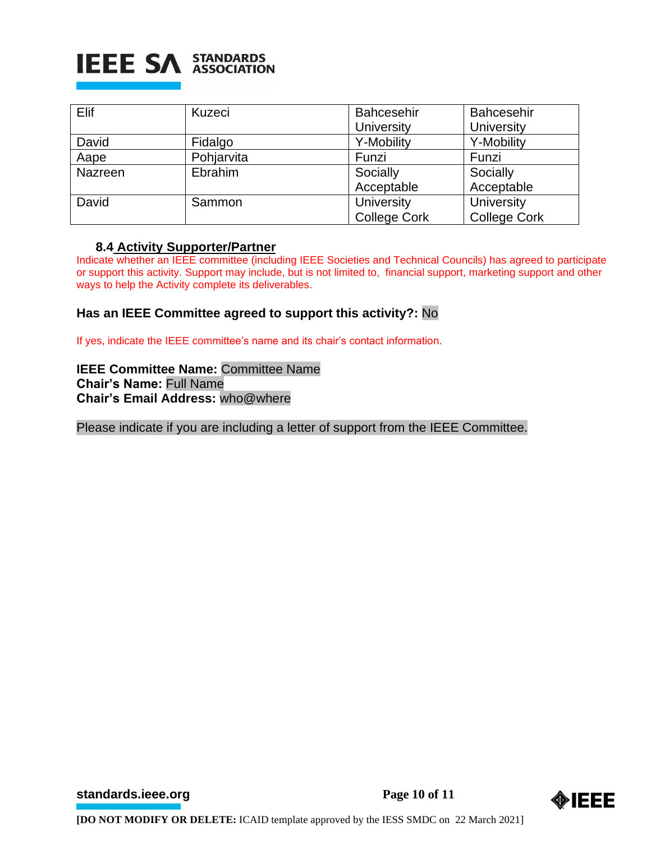

| Elif    | Kuzeci     | <b>Bahcesehir</b>   | <b>Bahcesehir</b>   |
|---------|------------|---------------------|---------------------|
|         |            | <b>University</b>   | University          |
| David   | Fidalgo    | Y-Mobility          | Y-Mobility          |
| Aape    | Pohjarvita | Funzi               | Funzi               |
| Nazreen | Ebrahim    | Socially            | Socially            |
|         |            | Acceptable          | Acceptable          |
| David   | Sammon     | <b>University</b>   | <b>University</b>   |
|         |            | <b>College Cork</b> | <b>College Cork</b> |

#### **8.4 Activity Supporter/Partner**

Indicate whether an IEEE committee (including IEEE Societies and Technical Councils) has agreed to participate or support this activity. Support may include, but is not limited to, financial support, marketing support and other ways to help the Activity complete its deliverables.

### **Has an IEEE Committee agreed to support this activity?:** No

If yes, indicate the IEEE committee's name and its chair's contact information.

**IEEE Committee Name:** Committee Name **Chair's Name:** Full Name **Chair's Email Address:** who@where

Please indicate if you are including a letter of support from the IEEE Committee.

**[standards.ieee.org](http://standards.ieee.org/)** Page 10 of 11